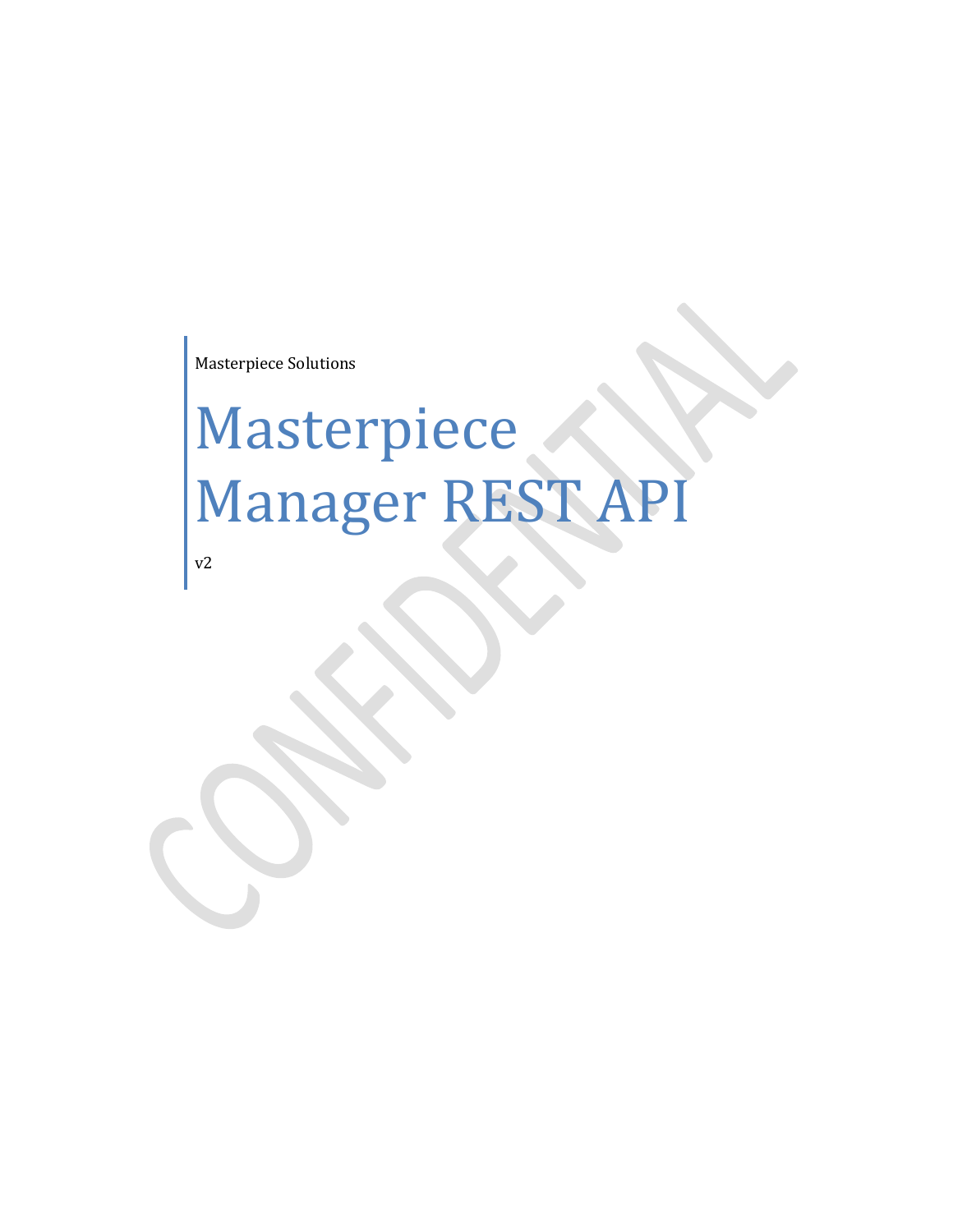Masterpiece Solutions

# **Masterpiece** Manager REST API

v2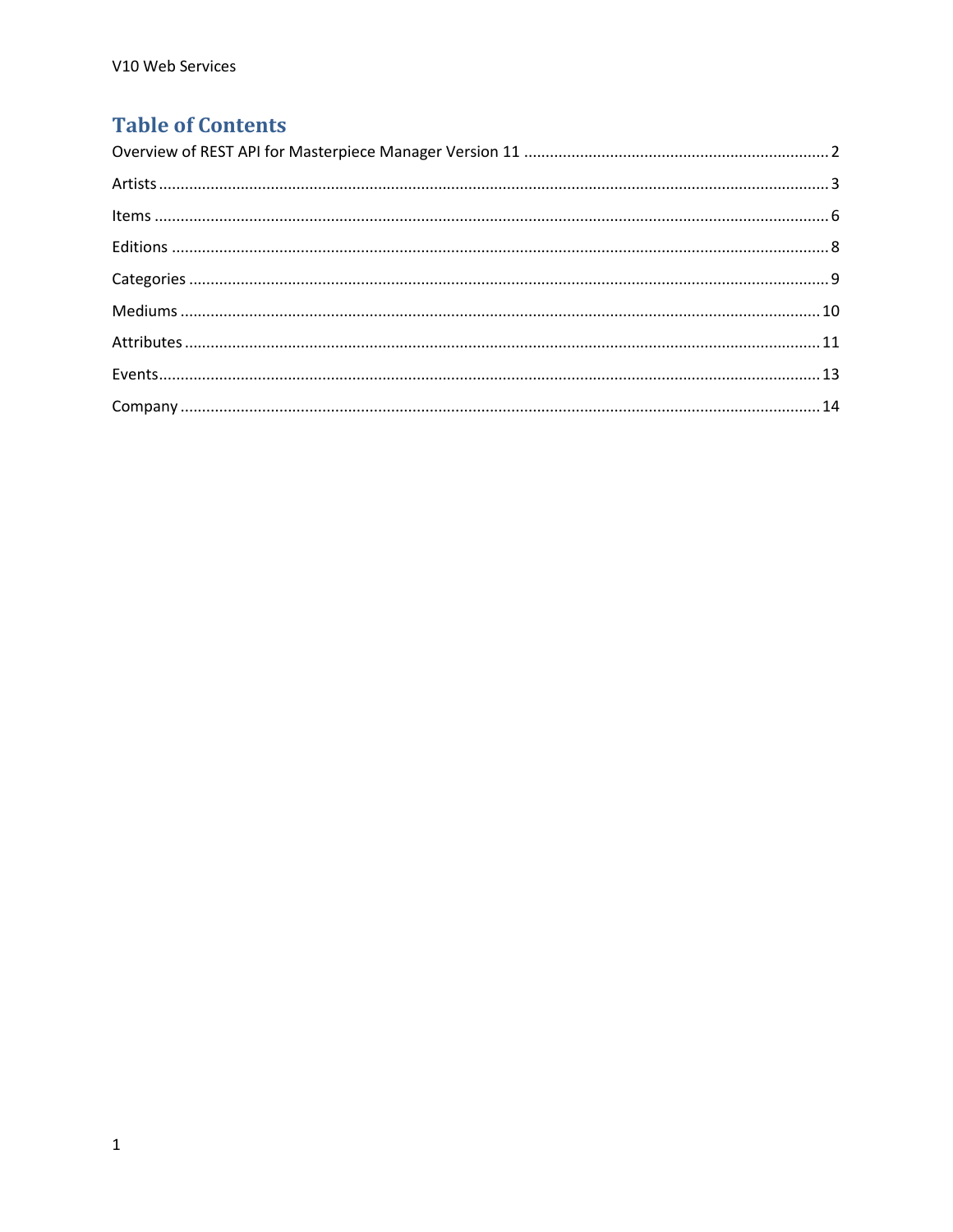# **Table of Contents**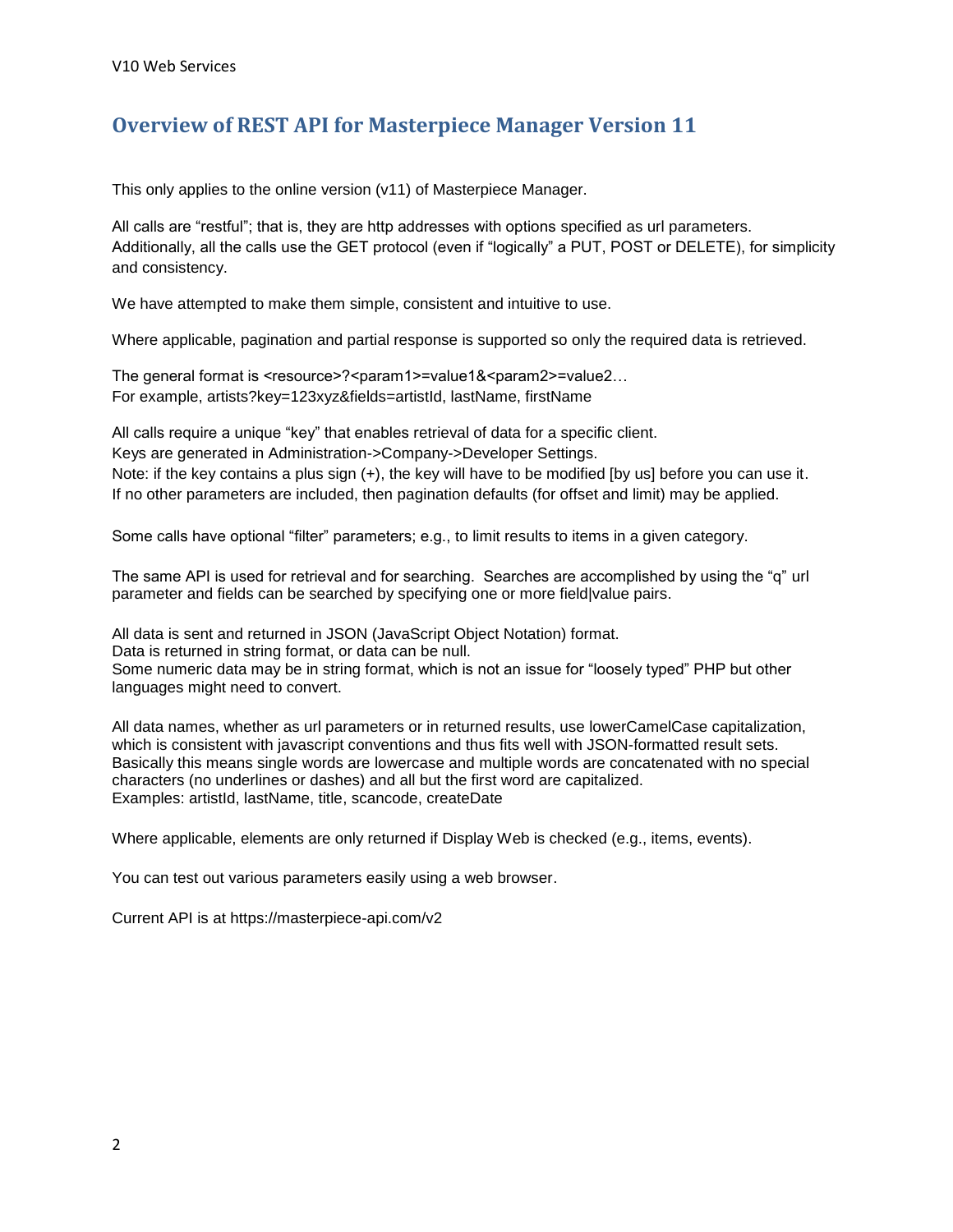## <span id="page-2-0"></span>**Overview of REST API for Masterpiece Manager Version 11**

This only applies to the online version (v11) of Masterpiece Manager.

All calls are "restful"; that is, they are http addresses with options specified as url parameters. Additionally, all the calls use the GET protocol (even if "logically" a PUT, POST or DELETE), for simplicity and consistency.

We have attempted to make them simple, consistent and intuitive to use.

Where applicable, pagination and partial response is supported so only the required data is retrieved.

The general format is <resource>?<param1>=value1&<param2>=value2... For example, artists?key=123xyz&fields=artistId, lastName, firstName

All calls require a unique "key" that enables retrieval of data for a specific client.

Keys are generated in Administration->Company->Developer Settings.

Note: if the key contains a plus sign (+), the key will have to be modified [by us] before you can use it. If no other parameters are included, then pagination defaults (for offset and limit) may be applied.

Some calls have optional "filter" parameters; e.g., to limit results to items in a given category.

The same API is used for retrieval and for searching. Searches are accomplished by using the "q" url parameter and fields can be searched by specifying one or more field|value pairs.

All data is sent and returned in JSON (JavaScript Object Notation) format. Data is returned in string format, or data can be null. Some numeric data may be in string format, which is not an issue for "loosely typed" PHP but other languages might need to convert.

All data names, whether as url parameters or in returned results, use lowerCamelCase capitalization, which is consistent with javascript conventions and thus fits well with JSON-formatted result sets. Basically this means single words are lowercase and multiple words are concatenated with no special characters (no underlines or dashes) and all but the first word are capitalized. Examples: artistId, lastName, title, scancode, createDate

Where applicable, elements are only returned if Display Web is checked (e.g., items, events).

You can test out various parameters easily using a web browser.

Current API is at https://masterpiece-api.com/v2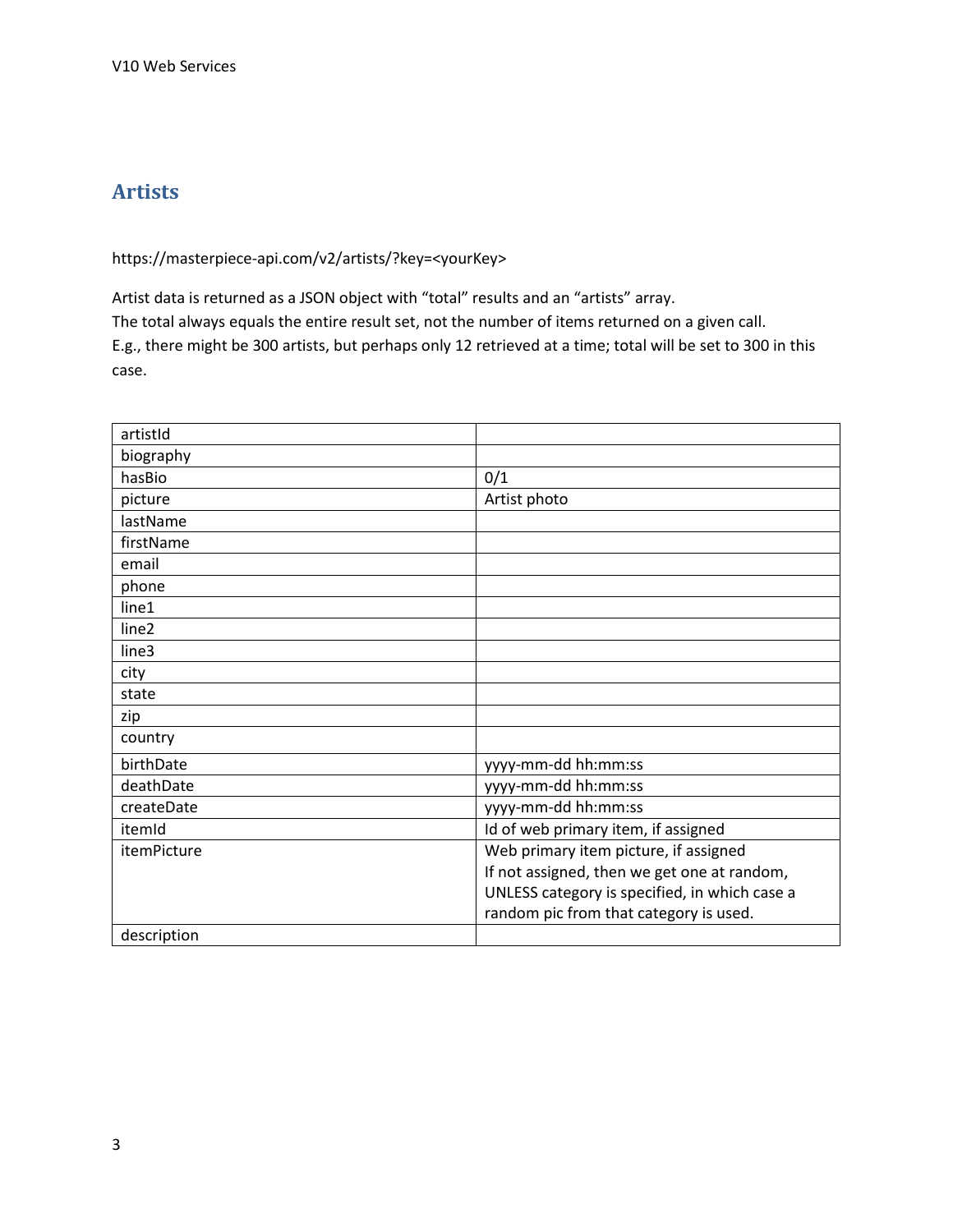# <span id="page-3-0"></span>**Artists**

https://masterpiece-api.com/v2/artists/?key=<yourKey>

Artist data is returned as a JSON object with "total" results and an "artists" array. The total always equals the entire result set, not the number of items returned on a given call. E.g., there might be 300 artists, but perhaps only 12 retrieved at a time; total will be set to 300 in this case.

| artistId    |                                               |
|-------------|-----------------------------------------------|
| biography   |                                               |
| hasBio      | 0/1                                           |
| picture     | Artist photo                                  |
| lastName    |                                               |
| firstName   |                                               |
| email       |                                               |
| phone       |                                               |
| line1       |                                               |
| line2       |                                               |
| line3       |                                               |
| city        |                                               |
| state       |                                               |
| zip         |                                               |
| country     |                                               |
| birthDate   | yyyy-mm-dd hh:mm:ss                           |
| deathDate   | yyyy-mm-dd hh:mm:ss                           |
| createDate  | yyyy-mm-dd hh:mm:ss                           |
| itemId      | Id of web primary item, if assigned           |
| itemPicture | Web primary item picture, if assigned         |
|             | If not assigned, then we get one at random,   |
|             | UNLESS category is specified, in which case a |
|             | random pic from that category is used.        |
| description |                                               |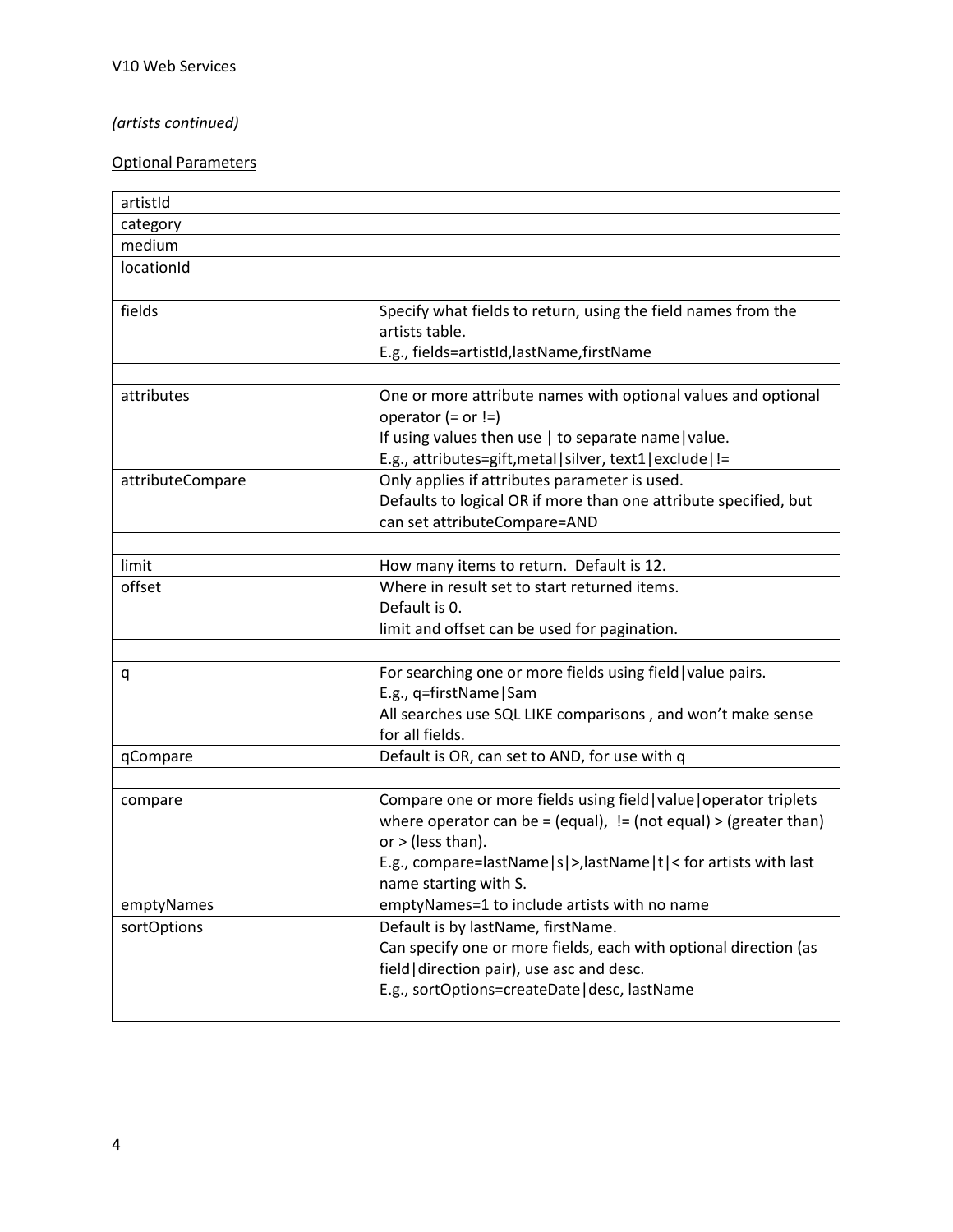## *(artists continued)*

| artistId         |                                                                    |
|------------------|--------------------------------------------------------------------|
| category         |                                                                    |
| medium           |                                                                    |
| locationId       |                                                                    |
|                  |                                                                    |
| fields           | Specify what fields to return, using the field names from the      |
|                  | artists table.                                                     |
|                  | E.g., fields=artistId,lastName,firstName                           |
|                  |                                                                    |
| attributes       | One or more attribute names with optional values and optional      |
|                  | operator $(=$ or $!=$ )                                            |
|                  | If using values then use   to separate name   value.               |
|                  | E.g., attributes=gift, metal   silver, text1   exclude   !=        |
| attributeCompare | Only applies if attributes parameter is used.                      |
|                  | Defaults to logical OR if more than one attribute specified, but   |
|                  | can set attributeCompare=AND                                       |
|                  |                                                                    |
| limit            | How many items to return. Default is 12.                           |
| offset           | Where in result set to start returned items.                       |
|                  | Default is 0.                                                      |
|                  | limit and offset can be used for pagination.                       |
|                  |                                                                    |
| q                | For searching one or more fields using field   value pairs.        |
|                  | E.g., q=firstName   Sam                                            |
|                  | All searches use SQL LIKE comparisons, and won't make sense        |
|                  | for all fields.                                                    |
| qCompare         | Default is OR, can set to AND, for use with q                      |
|                  |                                                                    |
| compare          | Compare one or more fields using field   value   operator triplets |
|                  | where operator can be = (equal), $!=$ (not equal) > (greater than) |
|                  | or $>$ (less than).                                                |
|                  | E.g., compare=lastName s >,lastName t < for artists with last      |
|                  | name starting with S.                                              |
| emptyNames       | emptyNames=1 to include artists with no name                       |
| sortOptions      | Default is by lastName, firstName.                                 |
|                  | Can specify one or more fields, each with optional direction (as   |
|                  | field direction pair), use asc and desc.                           |
|                  | E.g., sortOptions=createDate   desc, lastName                      |
|                  |                                                                    |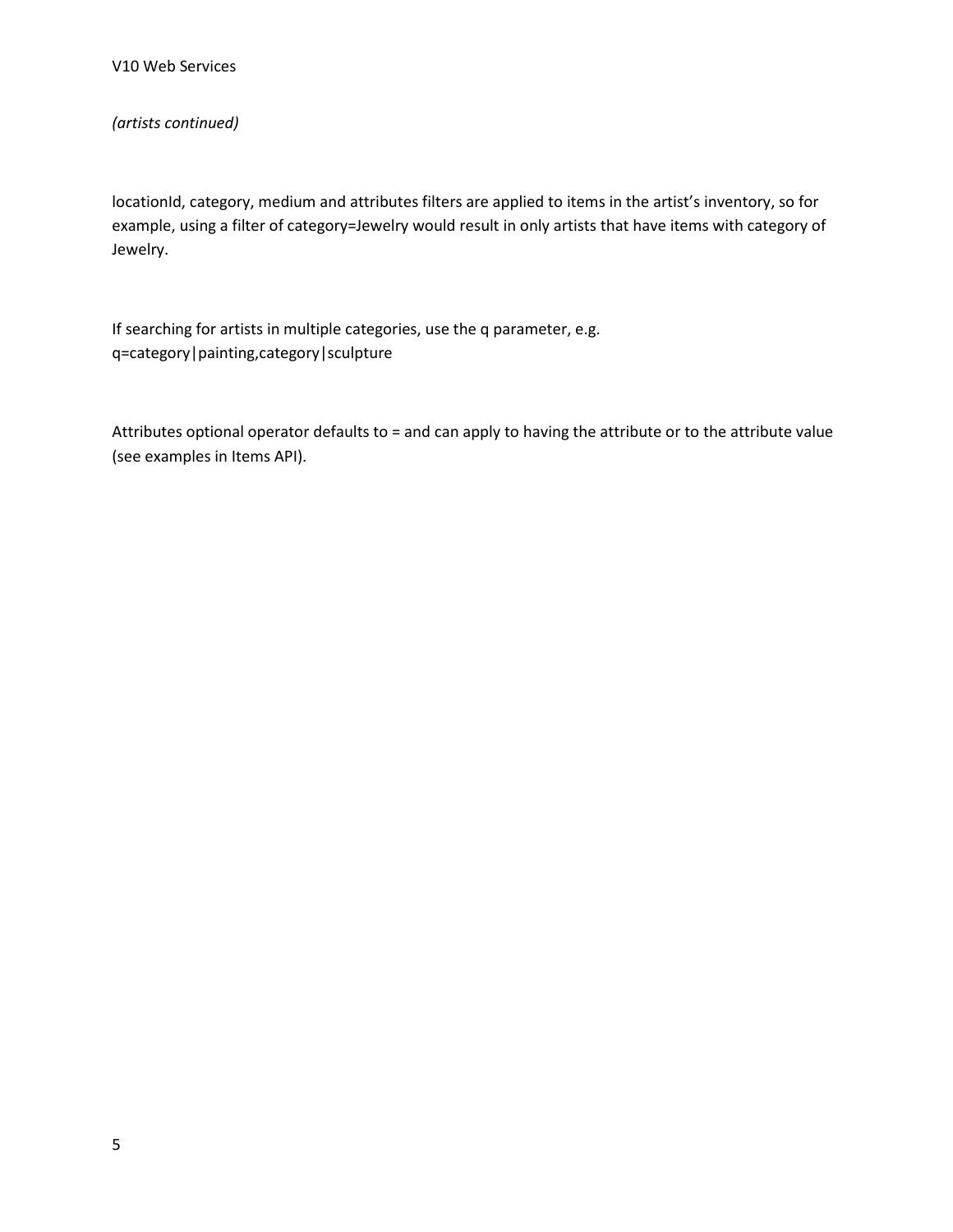#### *(artists continued)*

locationId, category, medium and attributes filters are applied to items in the artist's inventory, so for example, using a filter of category=Jewelry would result in only artists that have items with category of Jewelry.

If searching for artists in multiple categories, use the q parameter, e.g. q=category|painting,category|sculpture

Attributes optional operator defaults to = and can apply to having the attribute or to the attribute value (see examples in Items API).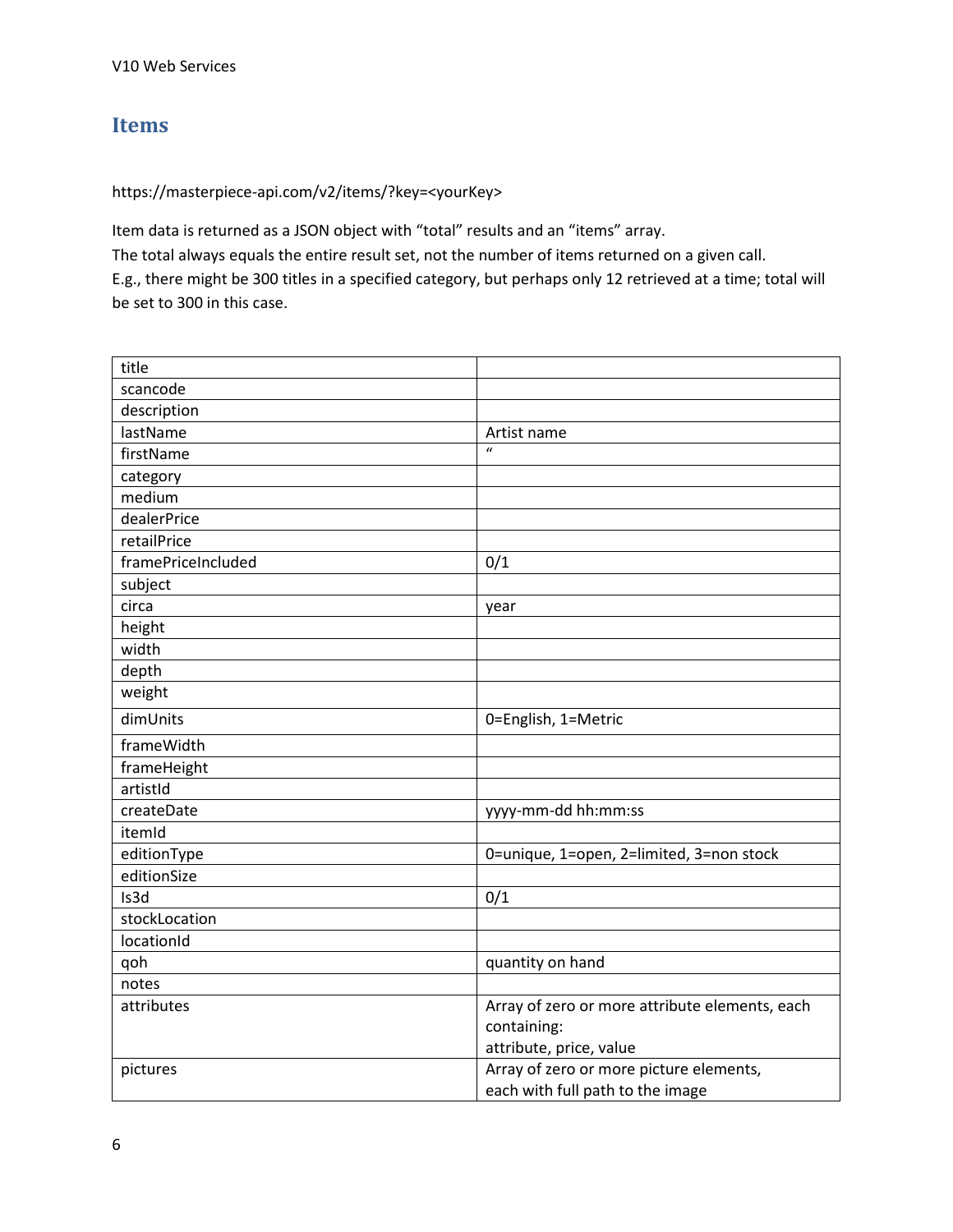## <span id="page-6-0"></span>**Items**

#### https://masterpiece-api.com/v2/items/?key=<yourKey>

Item data is returned as a JSON object with "total" results and an "items" array. The total always equals the entire result set, not the number of items returned on a given call. E.g., there might be 300 titles in a specified category, but perhaps only 12 retrieved at a time; total will be set to 300 in this case.

| title              |                                                |
|--------------------|------------------------------------------------|
| scancode           |                                                |
| description        |                                                |
| lastName           | Artist name                                    |
| firstName          | $\mathbf{u}$                                   |
| category           |                                                |
| medium             |                                                |
| dealerPrice        |                                                |
| retailPrice        |                                                |
| framePriceIncluded | 0/1                                            |
| subject            |                                                |
| circa              | year                                           |
| height             |                                                |
| width              |                                                |
| depth              |                                                |
| weight             |                                                |
| dimUnits           | 0=English, 1=Metric                            |
| frameWidth         |                                                |
| frameHeight        |                                                |
| artistId           |                                                |
| createDate         | yyyy-mm-dd hh:mm:ss                            |
| itemId             |                                                |
| editionType        | 0=unique, 1=open, 2=limited, 3=non stock       |
| editionSize        |                                                |
| Is3d               | 0/1                                            |
| stockLocation      |                                                |
| locationId         |                                                |
| qoh                | quantity on hand                               |
| notes              |                                                |
| attributes         | Array of zero or more attribute elements, each |
|                    | containing:                                    |
|                    | attribute, price, value                        |
| pictures           | Array of zero or more picture elements,        |
|                    | each with full path to the image               |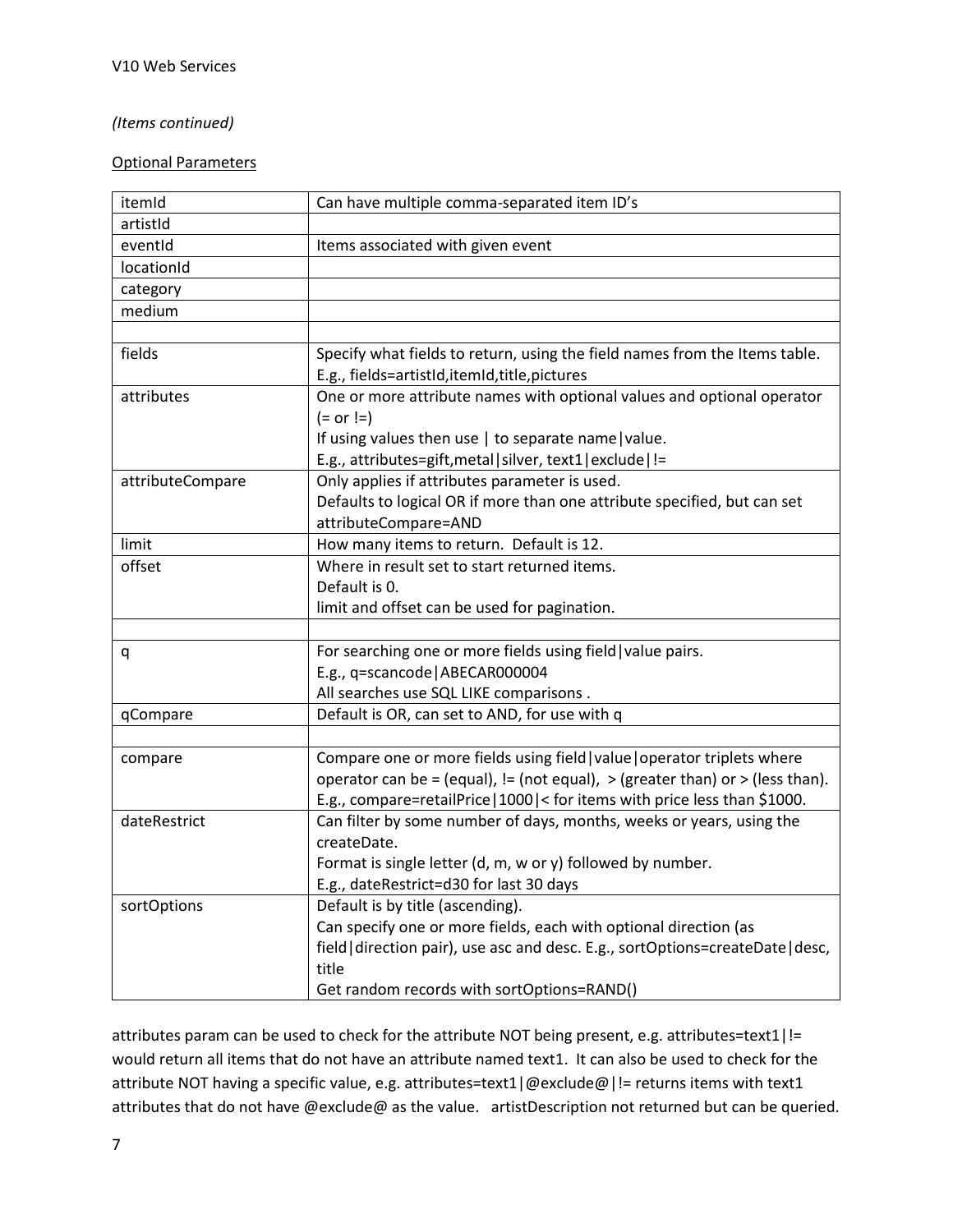#### *(Items continued)*

#### Optional Parameters

| itemId           | Can have multiple comma-separated item ID's                                         |
|------------------|-------------------------------------------------------------------------------------|
| artistId         |                                                                                     |
| eventId          | Items associated with given event                                                   |
| locationId       |                                                                                     |
| category         |                                                                                     |
| medium           |                                                                                     |
|                  |                                                                                     |
| fields           | Specify what fields to return, using the field names from the Items table.          |
|                  | E.g., fields=artistId, itemId, title, pictures                                      |
| attributes       | One or more attribute names with optional values and optional operator              |
|                  | $(= or !=)$                                                                         |
|                  | If using values then use   to separate name   value.                                |
|                  | E.g., attributes=gift, metal silver, text1 exclude !=                               |
| attributeCompare | Only applies if attributes parameter is used.                                       |
|                  | Defaults to logical OR if more than one attribute specified, but can set            |
|                  | attributeCompare=AND                                                                |
| limit            | How many items to return. Default is 12.                                            |
| offset           | Where in result set to start returned items.                                        |
|                  | Default is 0.                                                                       |
|                  | limit and offset can be used for pagination.                                        |
|                  |                                                                                     |
| q                | For searching one or more fields using field   value pairs.                         |
|                  | E.g., q=scancode   ABECAR000004                                                     |
|                  | All searches use SQL LIKE comparisons.                                              |
| qCompare         | Default is OR, can set to AND, for use with q                                       |
|                  |                                                                                     |
| compare          | Compare one or more fields using field   value   operator triplets where            |
|                  | operator can be = (equal), $!=$ (not equal), $>$ (greater than) or $>$ (less than). |
|                  | E.g., compare=retailPrice   1000   < for items with price less than \$1000.         |
| dateRestrict     | Can filter by some number of days, months, weeks or years, using the                |
|                  | createDate.                                                                         |
|                  | Format is single letter (d, m, w or y) followed by number.                          |
|                  | E.g., dateRestrict=d30 for last 30 days                                             |
| sortOptions      | Default is by title (ascending).                                                    |
|                  | Can specify one or more fields, each with optional direction (as                    |
|                  | field   direction pair), use asc and desc. E.g., sortOptions=createDate   desc,     |
|                  | title                                                                               |
|                  | Get random records with sortOptions=RAND()                                          |

attributes param can be used to check for the attribute NOT being present, e.g. attributes=text1|!= would return all items that do not have an attribute named text1. It can also be used to check for the attribute NOT having a specific value, e.g. attributes=text1 | @exclude@ | != returns items with text1 attributes that do not have @exclude@ as the value. artistDescription not returned but can be queried.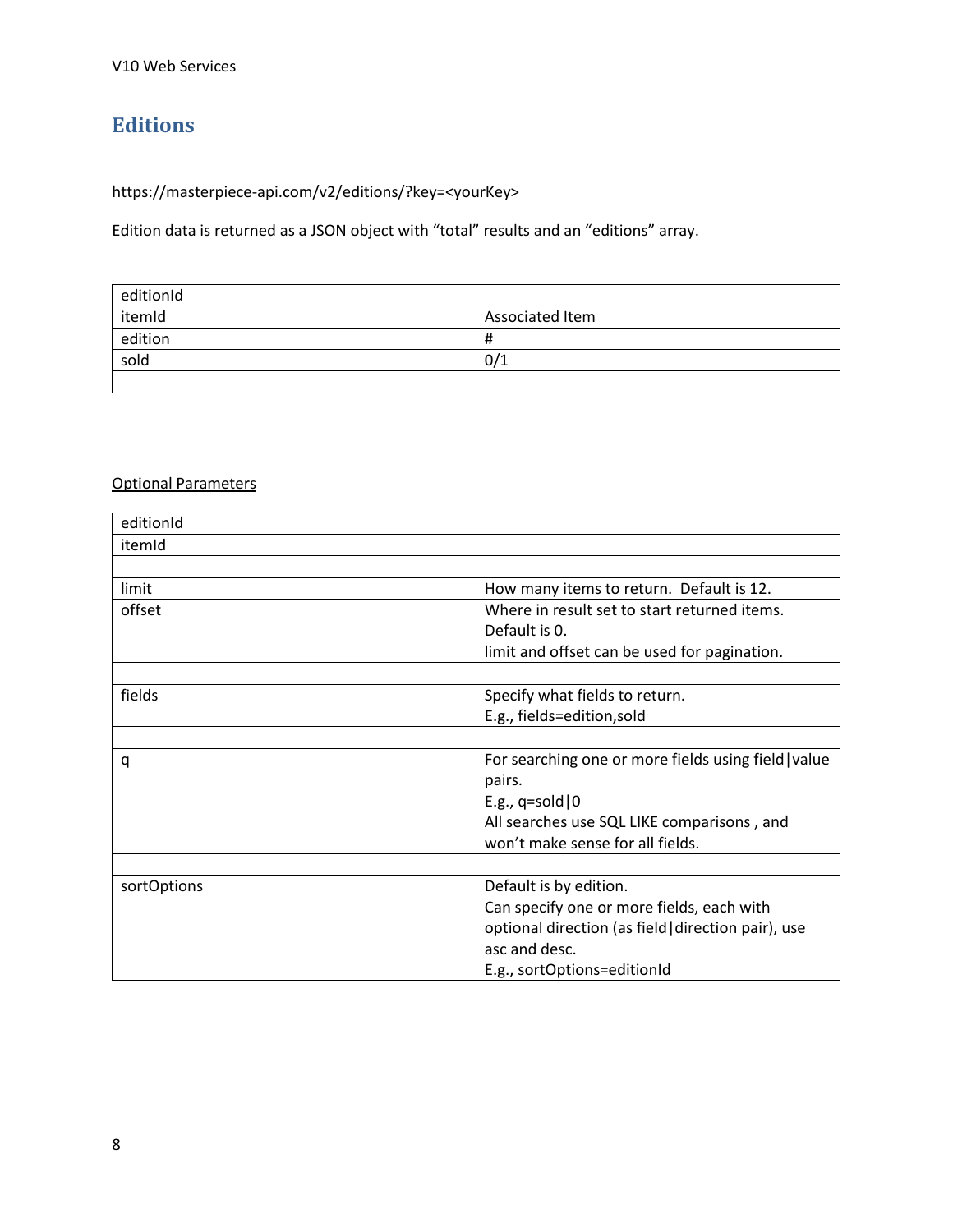# <span id="page-8-0"></span>**Editions**

https://masterpiece-api.com/v2/editions/?key=<yourKey>

Edition data is returned as a JSON object with "total" results and an "editions" array.

| editionId |                 |
|-----------|-----------------|
| itemId    | Associated Item |
| edition   | Ħ               |
| sold      | 0/1             |
|           |                 |

| editionId   |                                                      |
|-------------|------------------------------------------------------|
| itemId      |                                                      |
|             |                                                      |
| limit       | How many items to return. Default is 12.             |
| offset      | Where in result set to start returned items.         |
|             | Default is 0.                                        |
|             | limit and offset can be used for pagination.         |
|             |                                                      |
| fields      | Specify what fields to return.                       |
|             | E.g., fields=edition, sold                           |
|             |                                                      |
| q           | For searching one or more fields using field   value |
|             | pairs.                                               |
|             | E.g., $q=$ sold $ 0$                                 |
|             | All searches use SQL LIKE comparisons, and           |
|             | won't make sense for all fields.                     |
|             |                                                      |
| sortOptions | Default is by edition.                               |
|             | Can specify one or more fields, each with            |
|             | optional direction (as field direction pair), use    |
|             | asc and desc.                                        |
|             | E.g., sortOptions=editionId                          |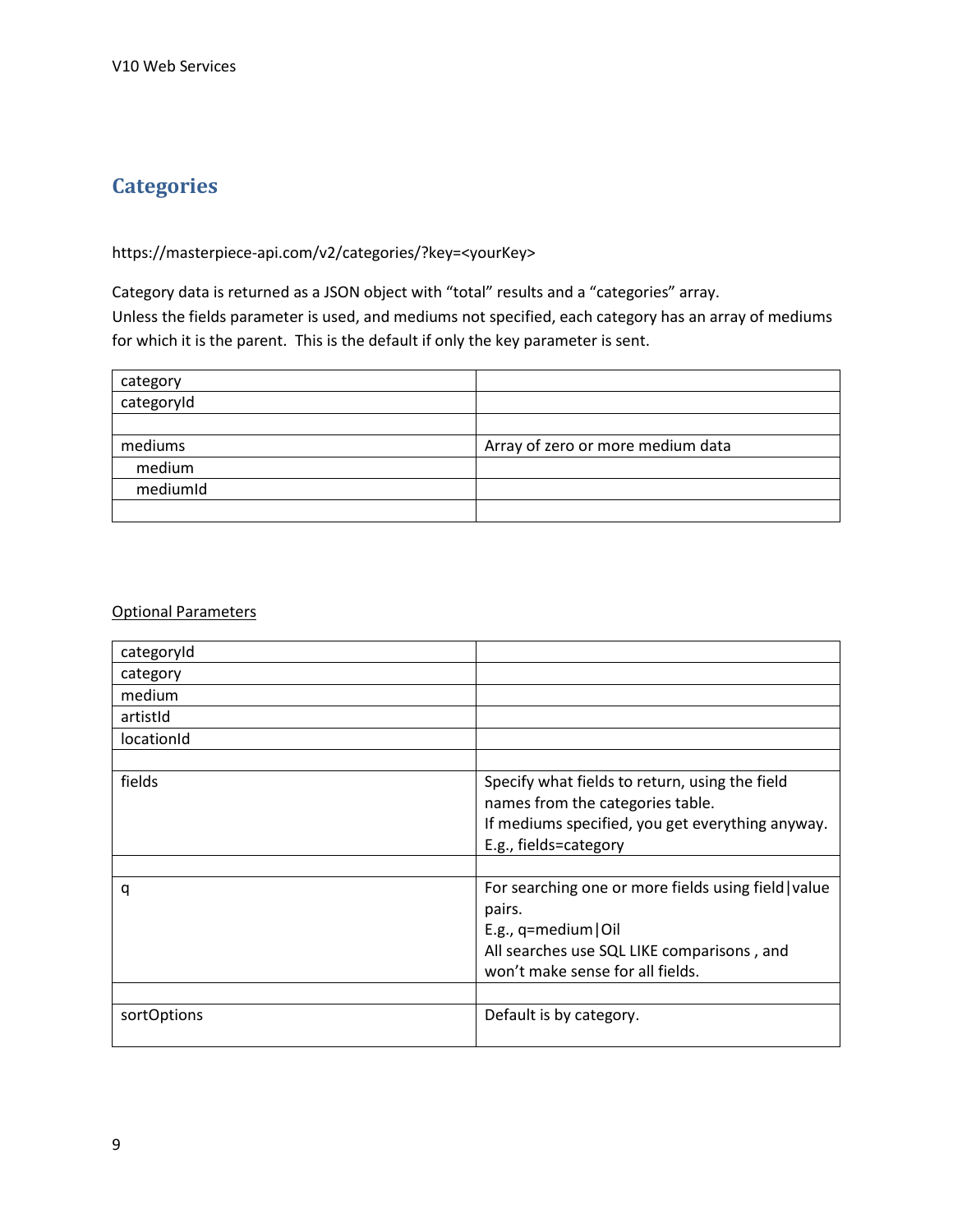# <span id="page-9-0"></span>**Categories**

## https://masterpiece-api.com/v2/categories/?key=<yourKey>

Category data is returned as a JSON object with "total" results and a "categories" array. Unless the fields parameter is used, and mediums not specified, each category has an array of mediums for which it is the parent. This is the default if only the key parameter is sent.

| category   |                                   |
|------------|-----------------------------------|
| categoryId |                                   |
|            |                                   |
| mediums    | Array of zero or more medium data |
| medium     |                                   |
| mediumId   |                                   |
|            |                                   |

| categoryId  |                                                                                                                                                                             |
|-------------|-----------------------------------------------------------------------------------------------------------------------------------------------------------------------------|
| category    |                                                                                                                                                                             |
| medium      |                                                                                                                                                                             |
| artistid    |                                                                                                                                                                             |
| locationId  |                                                                                                                                                                             |
|             |                                                                                                                                                                             |
| fields      | Specify what fields to return, using the field<br>names from the categories table.<br>If mediums specified, you get everything anyway.<br>E.g., fields=category             |
|             |                                                                                                                                                                             |
| q           | For searching one or more fields using field   value<br>pairs.<br>E.g., $q$ =medium   Oil<br>All searches use SQL LIKE comparisons, and<br>won't make sense for all fields. |
| sortOptions | Default is by category.                                                                                                                                                     |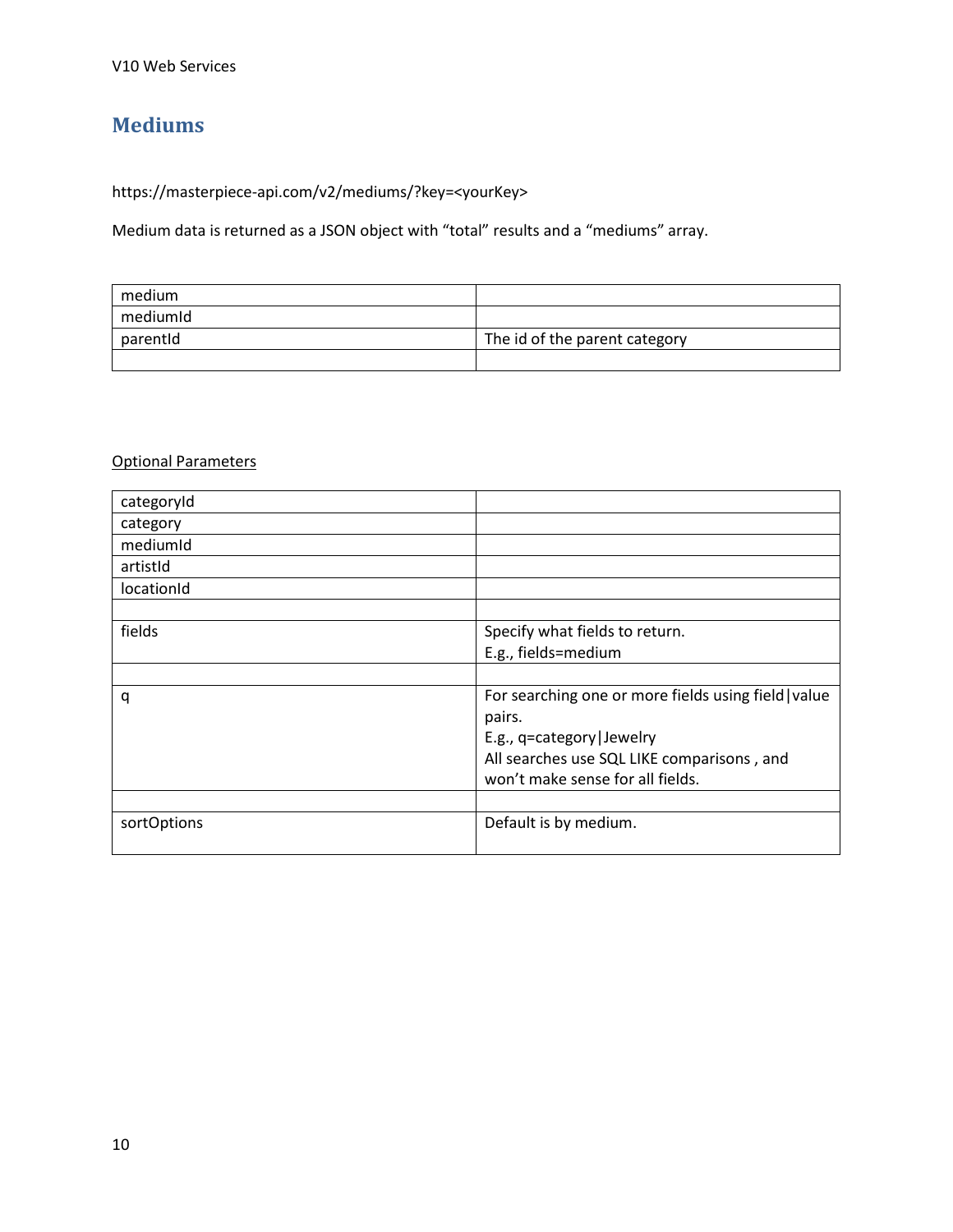# <span id="page-10-0"></span>**Mediums**

https://masterpiece-api.com/v2/mediums/?key=<yourKey>

Medium data is returned as a JSON object with "total" results and a "mediums" array.

| medium   |                               |
|----------|-------------------------------|
| mediumId |                               |
| parentId | The id of the parent category |
|          |                               |

| categoryId  |                                                      |
|-------------|------------------------------------------------------|
| category    |                                                      |
| mediumid    |                                                      |
| artistid    |                                                      |
| locationId  |                                                      |
|             |                                                      |
| fields      | Specify what fields to return.                       |
|             | E.g., fields=medium                                  |
|             |                                                      |
| q           | For searching one or more fields using field   value |
|             | pairs.                                               |
|             | E.g., q=category   Jewelry                           |
|             | All searches use SQL LIKE comparisons, and           |
|             | won't make sense for all fields.                     |
|             |                                                      |
| sortOptions | Default is by medium.                                |
|             |                                                      |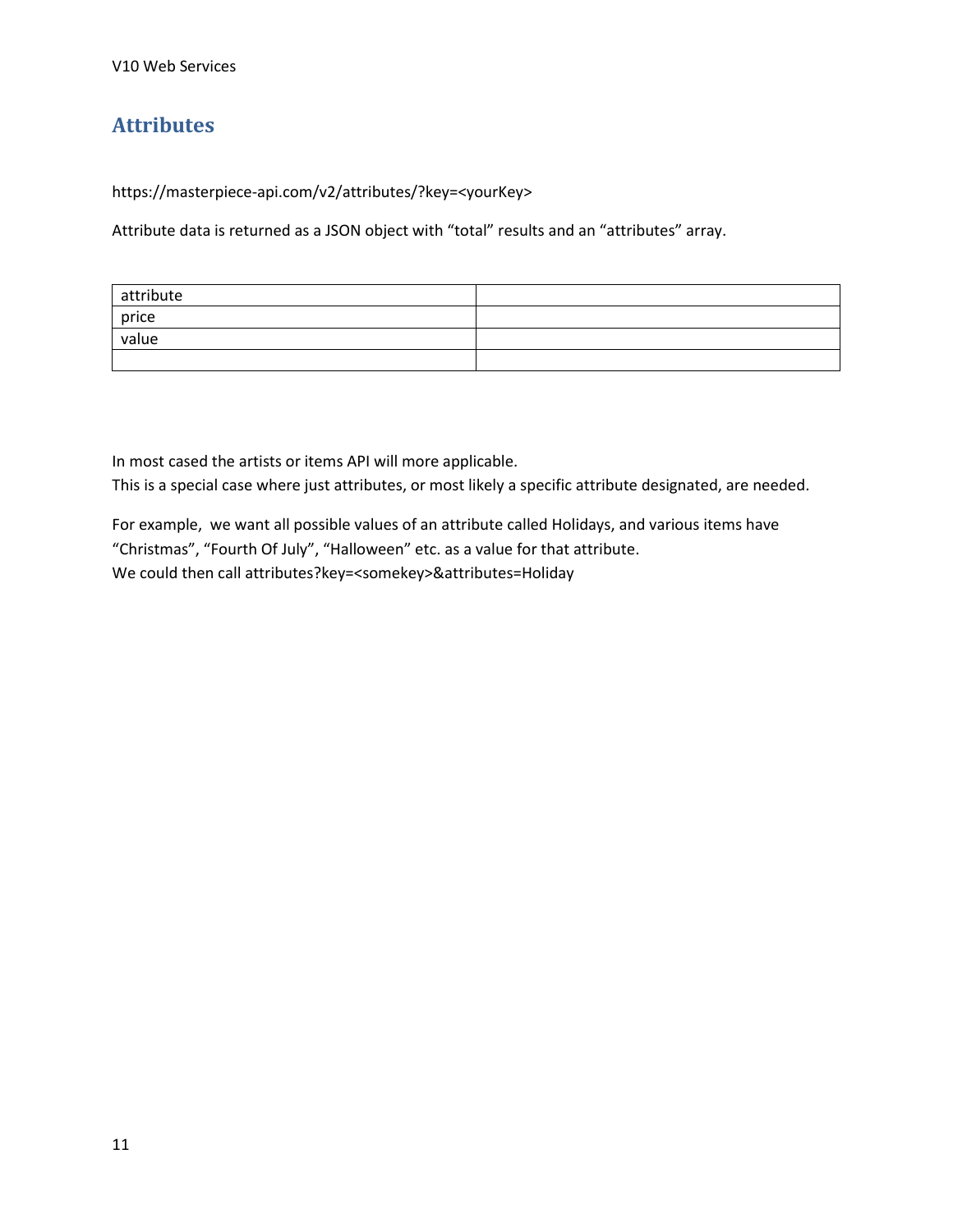# <span id="page-11-0"></span>**Attributes**

https://masterpiece-api.com/v2/attributes/?key=<yourKey>

Attribute data is returned as a JSON object with "total" results and an "attributes" array.

| attribute |  |
|-----------|--|
| price     |  |
| value     |  |
|           |  |

In most cased the artists or items API will more applicable.

This is a special case where just attributes, or most likely a specific attribute designated, are needed.

For example, we want all possible values of an attribute called Holidays, and various items have "Christmas", "Fourth Of July", "Halloween" etc. as a value for that attribute. We could then call attributes?key=<somekey>&attributes=Holiday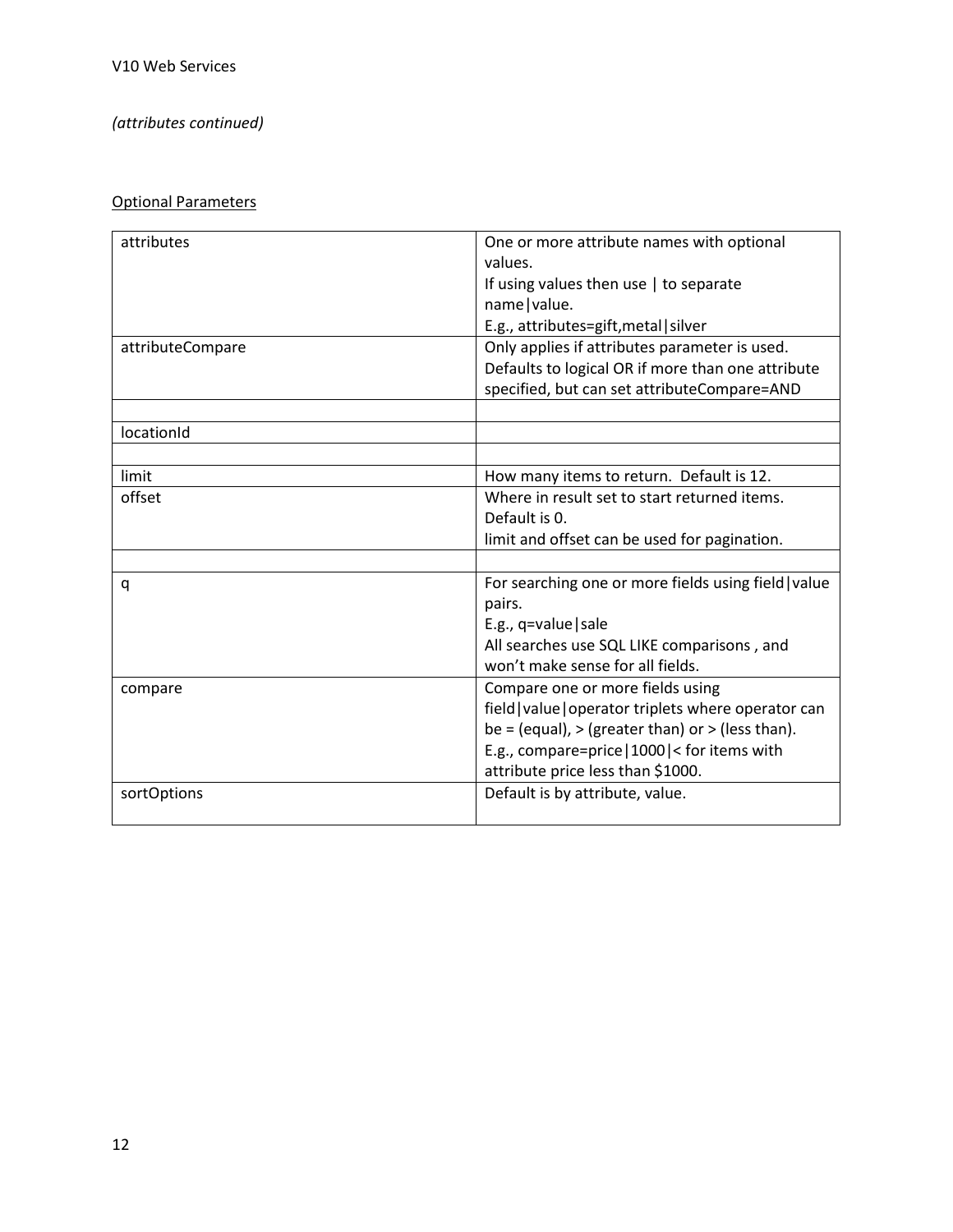## *(attributes continued)*

| attributes       | One or more attribute names with optional            |
|------------------|------------------------------------------------------|
|                  | values.                                              |
|                  | If using values then use $ $ to separate             |
|                  | name   value.                                        |
|                  | E.g., attributes=gift, metal   silver                |
| attributeCompare | Only applies if attributes parameter is used.        |
|                  | Defaults to logical OR if more than one attribute    |
|                  | specified, but can set attributeCompare=AND          |
|                  |                                                      |
| locationId       |                                                      |
|                  |                                                      |
| limit            | How many items to return. Default is 12.             |
| offset           | Where in result set to start returned items.         |
|                  | Default is 0.                                        |
|                  | limit and offset can be used for pagination.         |
|                  |                                                      |
| q                | For searching one or more fields using field   value |
|                  | pairs.                                               |
|                  | E.g., $q = value$   sale                             |
|                  | All searches use SQL LIKE comparisons, and           |
|                  | won't make sense for all fields.                     |
| compare          | Compare one or more fields using                     |
|                  | field   value   operator triplets where operator can |
|                  | be = (equal), > (greater than) or > (less than).     |
|                  | E.g., compare=price   1000   < for items with        |
|                  | attribute price less than \$1000.                    |
| sortOptions      | Default is by attribute, value.                      |
|                  |                                                      |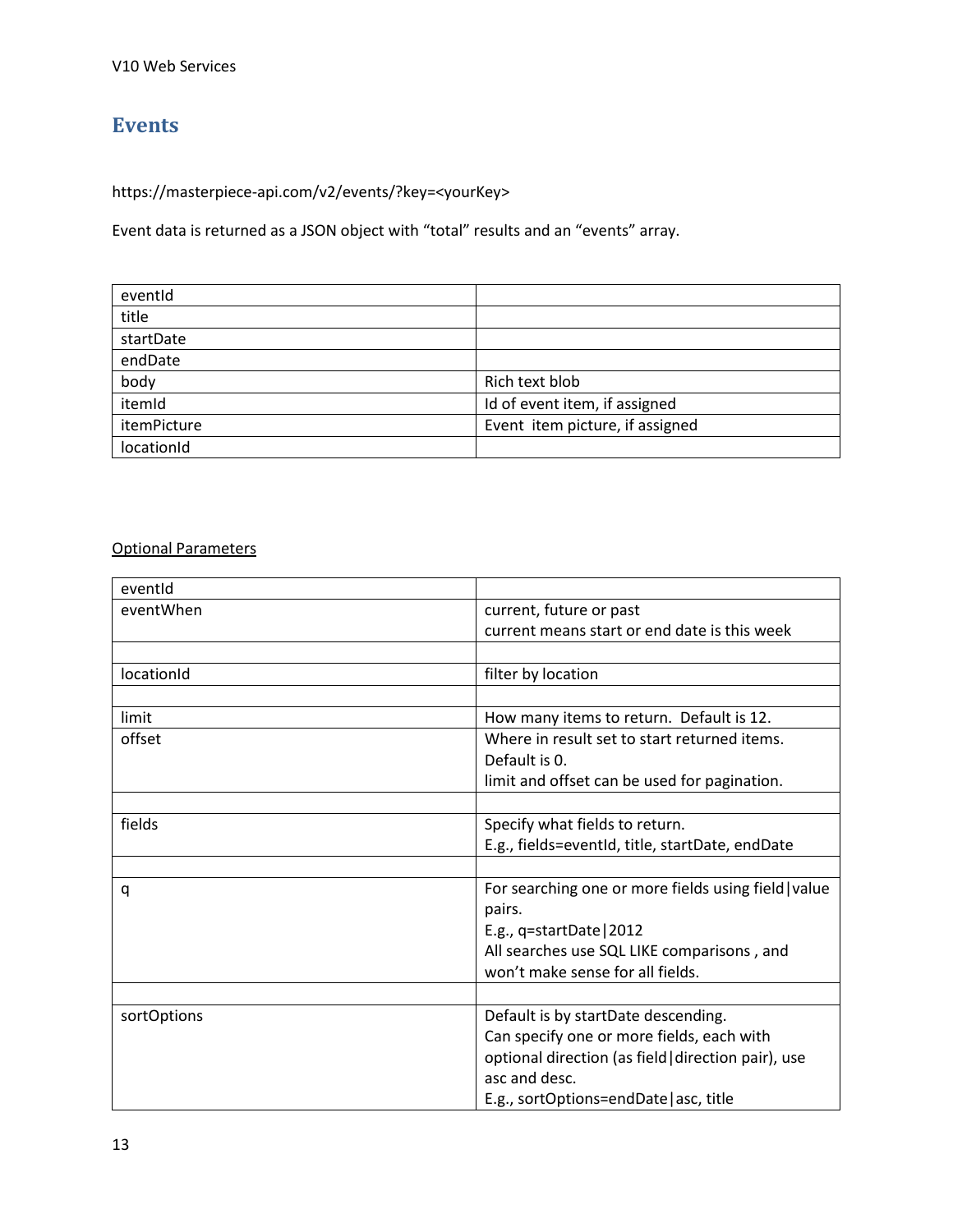## <span id="page-13-0"></span>**Events**

https://masterpiece-api.com/v2/events/?key=<yourKey>

Event data is returned as a JSON object with "total" results and an "events" array.

| eventid     |                                 |
|-------------|---------------------------------|
| title       |                                 |
| startDate   |                                 |
| endDate     |                                 |
| body        | Rich text blob                  |
| itemId      | Id of event item, if assigned   |
| itemPicture | Event item picture, if assigned |
| locationId  |                                 |

| eventid     |                                                      |
|-------------|------------------------------------------------------|
| eventWhen   | current, future or past                              |
|             | current means start or end date is this week         |
|             |                                                      |
| locationId  | filter by location                                   |
|             |                                                      |
| limit       | How many items to return. Default is 12.             |
| offset      | Where in result set to start returned items.         |
|             | Default is 0.                                        |
|             | limit and offset can be used for pagination.         |
|             |                                                      |
| fields      | Specify what fields to return.                       |
|             | E.g., fields=eventId, title, startDate, endDate      |
|             |                                                      |
| q           | For searching one or more fields using field   value |
|             | pairs.                                               |
|             | E.g., q=startDate   2012                             |
|             | All searches use SQL LIKE comparisons, and           |
|             | won't make sense for all fields.                     |
|             |                                                      |
| sortOptions | Default is by startDate descending.                  |
|             | Can specify one or more fields, each with            |
|             | optional direction (as field   direction pair), use  |
|             | asc and desc.                                        |
|             | E.g., sortOptions=endDate   asc, title               |